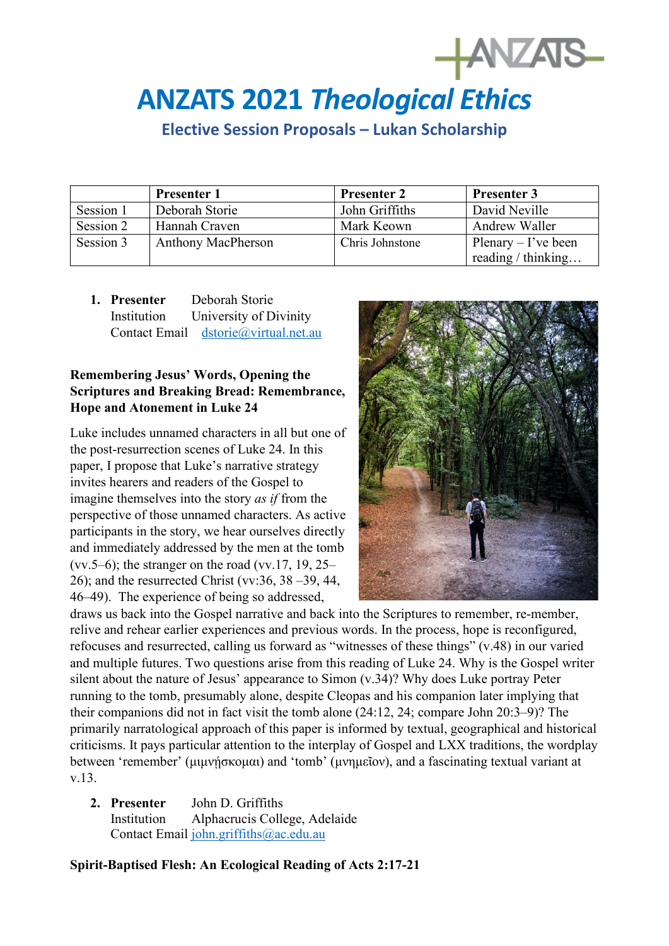# **ANZATS 2021** *Theological Ethics*

**Elective Session Proposals – Lukan Scholarship**

|           | <b>Presenter 1</b>        | <b>Presenter 2</b> | <b>Presenter 3</b>    |
|-----------|---------------------------|--------------------|-----------------------|
| Session 1 | Deborah Storie            | John Griffiths     | David Neville         |
| Session 2 | Hannah Craven             | Mark Keown         | Andrew Waller         |
| Session 3 | <b>Anthony MacPherson</b> | Chris Johnstone    | Plenary $-$ I've been |
|           |                           |                    | reading / thinking    |

**1. Presenter** Deborah Storie Institution University of Divinity Contact Email [dstorie@virtual.net.au](mailto:dstorie@virtual.net.au)

#### **Remembering Jesus' Words, Opening the Scriptures and Breaking Bread: Remembrance, Hope and Atonement in Luke 24**

Luke includes unnamed characters in all but one of the post-resurrection scenes of Luke 24. In this paper, I propose that Luke's narrative strategy invites hearers and readers of the Gospel to imagine themselves into the story *as if* from the perspective of those unnamed characters. As active participants in the story, we hear ourselves directly and immediately addressed by the men at the tomb (vv.5–6); the stranger on the road (vv.17, 19,  $25-$ 26); and the resurrected Christ (vv:36, 38 –39, 44, 46–49). The experience of being so addressed,



 $+$  ANZATS-

draws us back into the Gospel narrative and back into the Scriptures to remember, re-member, relive and rehear earlier experiences and previous words. In the process, hope is reconfigured, refocuses and resurrected, calling us forward as "witnesses of these things" (v.48) in our varied and multiple futures. Two questions arise from this reading of Luke 24. Why is the Gospel writer silent about the nature of Jesus' appearance to Simon (v.34)? Why does Luke portray Peter running to the tomb, presumably alone, despite Cleopas and his companion later implying that their companions did not in fact visit the tomb alone (24:12, 24; compare John 20:3–9)? The primarily narratological approach of this paper is informed by textual, geographical and historical criticisms. It pays particular attention to the interplay of Gospel and LXX traditions, the wordplay between 'remember' (μιμνήσκομαι) and 'tomb' (μνημεῖον), and a fascinating textual variant at v.13.

**2. Presenter** John D. Griffiths Institution Alphacrucis College, Adelaide

Contact Email [john.griffiths@ac.edu.au](mailto:john.griffiths@ac.edu.au)

## **Spirit-Baptised Flesh: An Ecological Reading of Acts 2:17-21**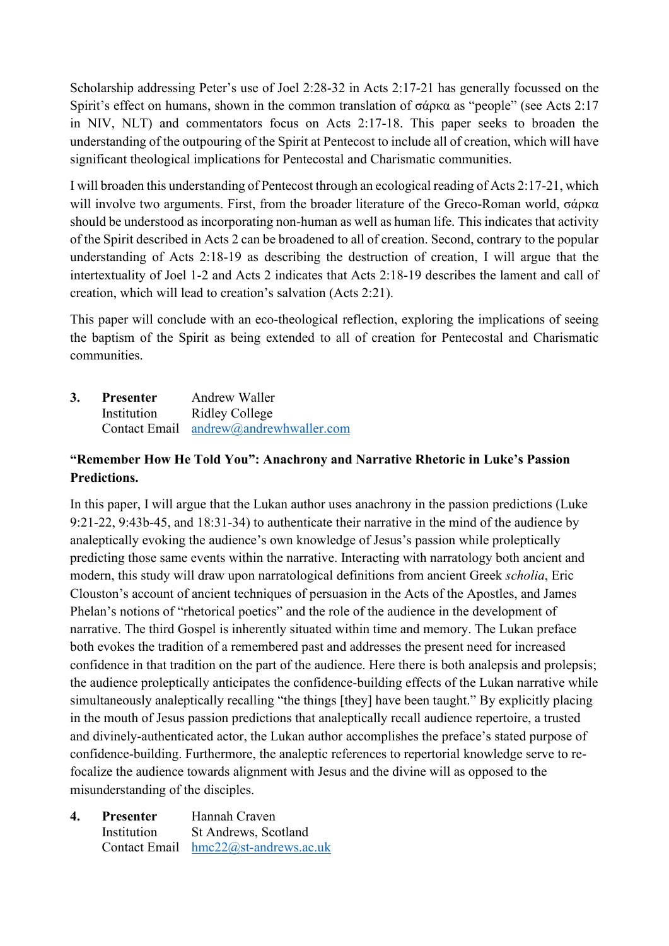Scholarship addressing Peter's use of Joel 2:28-32 in Acts 2:17-21 has generally focussed on the Spirit's effect on humans, shown in the common translation of σάρκα as "people" (see Acts 2:17 in NIV, NLT) and commentators focus on Acts 2:17-18. This paper seeks to broaden the understanding of the outpouring of the Spirit at Pentecost to include all of creation, which will have significant theological implications for Pentecostal and Charismatic communities.

I will broaden this understanding of Pentecost through an ecological reading of Acts 2:17-21, which will involve two arguments. First, from the broader literature of the Greco-Roman world, σάρκα should be understood as incorporating non-human as well as human life. This indicates that activity of the Spirit described in Acts 2 can be broadened to all of creation. Second, contrary to the popular understanding of Acts 2:18-19 as describing the destruction of creation, I will argue that the intertextuality of Joel 1-2 and Acts 2 indicates that Acts 2:18-19 describes the lament and call of creation, which will lead to creation's salvation (Acts 2:21).

This paper will conclude with an eco-theological reflection, exploring the implications of seeing the baptism of the Spirit as being extended to all of creation for Pentecostal and Charismatic communities.

**3. Presenter** Andrew Waller Institution Ridley College Contact Email [andrew@andrewhwaller.com](mailto:andrew@andrewhwaller.com)

## **"Remember How He Told You": Anachrony and Narrative Rhetoric in Luke's Passion Predictions.**

In this paper, I will argue that the Lukan author uses anachrony in the passion predictions (Luke 9:21-22, 9:43b-45, and 18:31-34) to authenticate their narrative in the mind of the audience by analeptically evoking the audience's own knowledge of Jesus's passion while proleptically predicting those same events within the narrative. Interacting with narratology both ancient and modern, this study will draw upon narratological definitions from ancient Greek *scholia*, Eric Clouston's account of ancient techniques of persuasion in the Acts of the Apostles, and James Phelan's notions of "rhetorical poetics" and the role of the audience in the development of narrative. The third Gospel is inherently situated within time and memory. The Lukan preface both evokes the tradition of a remembered past and addresses the present need for increased confidence in that tradition on the part of the audience. Here there is both analepsis and prolepsis; the audience proleptically anticipates the confidence-building effects of the Lukan narrative while simultaneously analeptically recalling "the things [they] have been taught." By explicitly placing in the mouth of Jesus passion predictions that analeptically recall audience repertoire, a trusted and divinely-authenticated actor, the Lukan author accomplishes the preface's stated purpose of confidence-building. Furthermore, the analeptic references to repertorial knowledge serve to refocalize the audience towards alignment with Jesus and the divine will as opposed to the misunderstanding of the disciples.

| 4. | Presenter   | Hannah Craven                           |
|----|-------------|-----------------------------------------|
|    | Institution | St Andrews, Scotland                    |
|    |             | Contact Email $hmc22@st$ -andrews.ac.uk |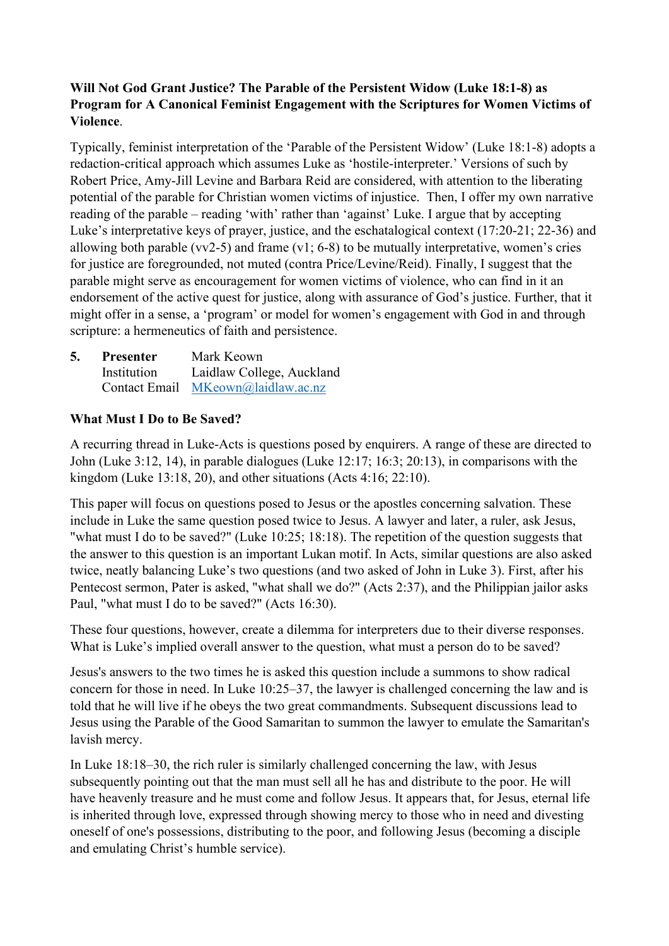## **Will Not God Grant Justice? The Parable of the Persistent Widow (Luke 18:1-8) as Program for A Canonical Feminist Engagement with the Scriptures for Women Victims of Violence**.

Typically, feminist interpretation of the 'Parable of the Persistent Widow' (Luke 18:1-8) adopts a redaction-critical approach which assumes Luke as 'hostile-interpreter.' Versions of such by Robert Price, Amy-Jill Levine and Barbara Reid are considered, with attention to the liberating potential of the parable for Christian women victims of injustice. Then, I offer my own narrative reading of the parable – reading 'with' rather than 'against' Luke. I argue that by accepting Luke's interpretative keys of prayer, justice, and the eschatalogical context (17:20-21; 22-36) and allowing both parable ( $vv2-5$ ) and frame ( $v1$ ; 6-8) to be mutually interpretative, women's cries for justice are foregrounded, not muted (contra Price/Levine/Reid). Finally, I suggest that the parable might serve as encouragement for women victims of violence, who can find in it an endorsement of the active quest for justice, along with assurance of God's justice. Further, that it might offer in a sense, a 'program' or model for women's engagement with God in and through scripture: a hermeneutics of faith and persistence.

**5. Presenter** Mark Keown Institution Laidlaw College, Auckland Contact Email [MKeown@laidlaw.ac.nz](mailto:MKeown@laidlaw.ac.nz)

#### **What Must I Do to Be Saved?**

A recurring thread in Luke-Acts is questions posed by enquirers. A range of these are directed to John (Luke 3:12, 14), in parable dialogues (Luke 12:17; 16:3; 20:13), in comparisons with the kingdom (Luke 13:18, 20), and other situations (Acts 4:16; 22:10).

This paper will focus on questions posed to Jesus or the apostles concerning salvation. These include in Luke the same question posed twice to Jesus. A lawyer and later, a ruler, ask Jesus, "what must I do to be saved?" (Luke 10:25; 18:18). The repetition of the question suggests that the answer to this question is an important Lukan motif. In Acts, similar questions are also asked twice, neatly balancing Luke's two questions (and two asked of John in Luke 3). First, after his Pentecost sermon, Pater is asked, "what shall we do?" (Acts 2:37), and the Philippian jailor asks Paul, "what must I do to be saved?" (Acts 16:30).

These four questions, however, create a dilemma for interpreters due to their diverse responses. What is Luke's implied overall answer to the question, what must a person do to be saved?

Jesus's answers to the two times he is asked this question include a summons to show radical concern for those in need. In Luke 10:25–37, the lawyer is challenged concerning the law and is told that he will live if he obeys the two great commandments. Subsequent discussions lead to Jesus using the Parable of the Good Samaritan to summon the lawyer to emulate the Samaritan's lavish mercy.

In Luke 18:18–30, the rich ruler is similarly challenged concerning the law, with Jesus subsequently pointing out that the man must sell all he has and distribute to the poor. He will have heavenly treasure and he must come and follow Jesus. It appears that, for Jesus, eternal life is inherited through love, expressed through showing mercy to those who in need and divesting oneself of one's possessions, distributing to the poor, and following Jesus (becoming a disciple and emulating Christ's humble service).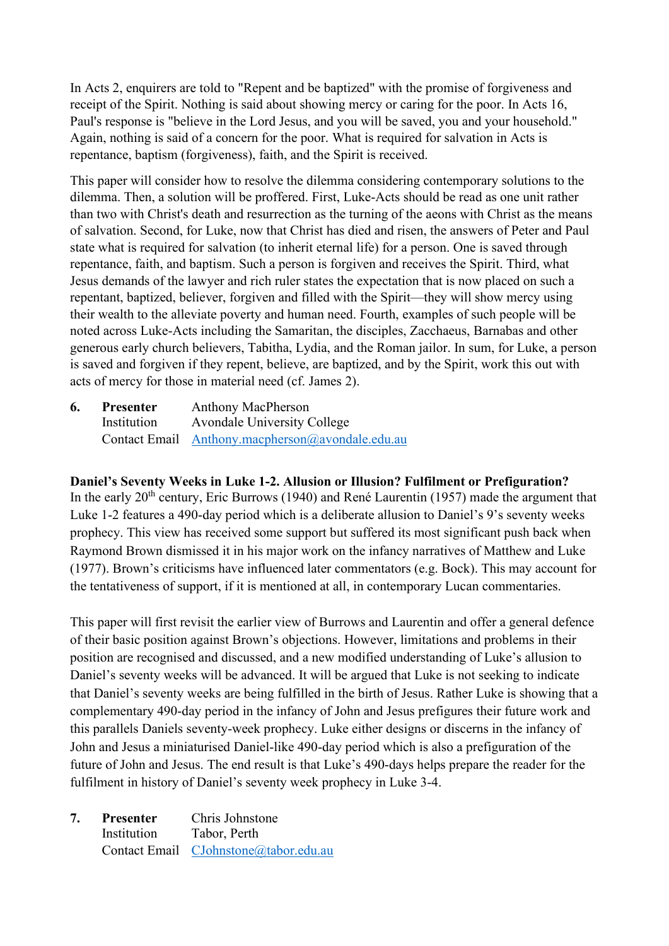In Acts 2, enquirers are told to "Repent and be baptized" with the promise of forgiveness and receipt of the Spirit. Nothing is said about showing mercy or caring for the poor. In Acts 16, Paul's response is "believe in the Lord Jesus, and you will be saved, you and your household." Again, nothing is said of a concern for the poor. What is required for salvation in Acts is repentance, baptism (forgiveness), faith, and the Spirit is received.

This paper will consider how to resolve the dilemma considering contemporary solutions to the dilemma. Then, a solution will be proffered. First, Luke-Acts should be read as one unit rather than two with Christ's death and resurrection as the turning of the aeons with Christ as the means of salvation. Second, for Luke, now that Christ has died and risen, the answers of Peter and Paul state what is required for salvation (to inherit eternal life) for a person. One is saved through repentance, faith, and baptism. Such a person is forgiven and receives the Spirit. Third, what Jesus demands of the lawyer and rich ruler states the expectation that is now placed on such a repentant, baptized, believer, forgiven and filled with the Spirit—they will show mercy using their wealth to the alleviate poverty and human need. Fourth, examples of such people will be noted across Luke-Acts including the Samaritan, the disciples, Zacchaeus, Barnabas and other generous early church believers, Tabitha, Lydia, and the Roman jailor. In sum, for Luke, a person is saved and forgiven if they repent, believe, are baptized, and by the Spirit, work this out with acts of mercy for those in material need (cf. James 2).

**6. Presenter** Anthony MacPherson Institution Avondale University College Contact Email [Anthony.macpherson@avondale.edu.au](mailto:Anthony.macpherson@avondale.edu.au)

#### **Daniel's Seventy Weeks in Luke 1-2. Allusion or Illusion? Fulfilment or Prefiguration?**

In the early  $20<sup>th</sup>$  century, Eric Burrows (1940) and René Laurentin (1957) made the argument that Luke 1-2 features a 490-day period which is a deliberate allusion to Daniel's 9's seventy weeks prophecy. This view has received some support but suffered its most significant push back when Raymond Brown dismissed it in his major work on the infancy narratives of Matthew and Luke (1977). Brown's criticisms have influenced later commentators (e.g. Bock). This may account for the tentativeness of support, if it is mentioned at all, in contemporary Lucan commentaries.

This paper will first revisit the earlier view of Burrows and Laurentin and offer a general defence of their basic position against Brown's objections. However, limitations and problems in their position are recognised and discussed, and a new modified understanding of Luke's allusion to Daniel's seventy weeks will be advanced. It will be argued that Luke is not seeking to indicate that Daniel's seventy weeks are being fulfilled in the birth of Jesus. Rather Luke is showing that a complementary 490-day period in the infancy of John and Jesus prefigures their future work and this parallels Daniels seventy-week prophecy. Luke either designs or discerns in the infancy of John and Jesus a miniaturised Daniel-like 490-day period which is also a prefiguration of the future of John and Jesus. The end result is that Luke's 490-days helps prepare the reader for the fulfilment in history of Daniel's seventy week prophecy in Luke 3-4.

**7. Presenter** Chris Johnstone Institution Tabor, Perth Contact Email [CJohnstone@tabor.edu.au](mailto:CJohnstone@tabor.edu.au)